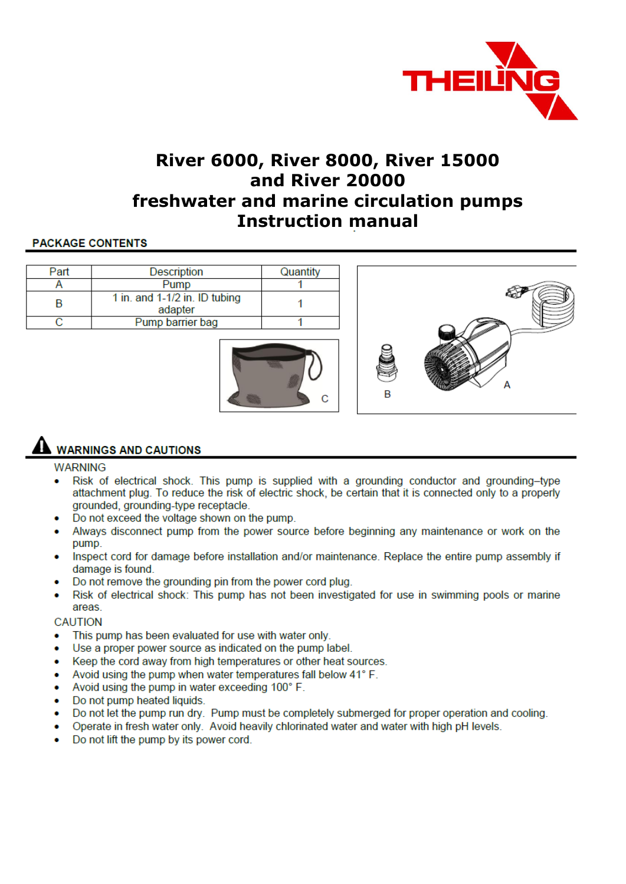

# **River 6000, River 8000, River 15000** and River 20000 freshwater and marine circulation pumps **Instruction manual**

## **PACKAGE CONTENTS**

| Part | Description                              | Quantity |   |  |
|------|------------------------------------------|----------|---|--|
|      | Pump                                     |          |   |  |
| B    | 1 in. and 1-1/2 in. ID tubing<br>adapter |          |   |  |
|      | Pump barrier bag                         |          |   |  |
|      |                                          | ⌒        | n |  |

# **WARNINGS AND CAUTIONS**

#### **WARNING**

Risk of electrical shock. This pump is supplied with a grounding conductor and grounding-type attachment plug. To reduce the risk of electric shock, be certain that it is connected only to a properly grounded, grounding-type receptacle.

C

- Do not exceed the voltage shown on the pump.
- Always disconnect pump from the power source before beginning any maintenance or work on the pump.
- Inspect cord for damage before installation and/or maintenance. Replace the entire pump assembly if damage is found.
- Do not remove the grounding pin from the power cord plug.
- Risk of electrical shock: This pump has not been investigated for use in swimming pools or marine areas.

#### **CAUTION**

- This pump has been evaluated for use with water only.
- Use a proper power source as indicated on the pump label.
- Keep the cord away from high temperatures or other heat sources.
- Avoid using the pump when water temperatures fall below 41° F.
- Avoid using the pump in water exceeding 100° F.
- Do not pump heated liquids.
- Do not let the pump run dry. Pump must be completely submerged for proper operation and cooling.  $\bullet$
- Operate in fresh water only. Avoid heavily chlorinated water and water with high pH levels.  $\bullet$
- Do not lift the pump by its power cord.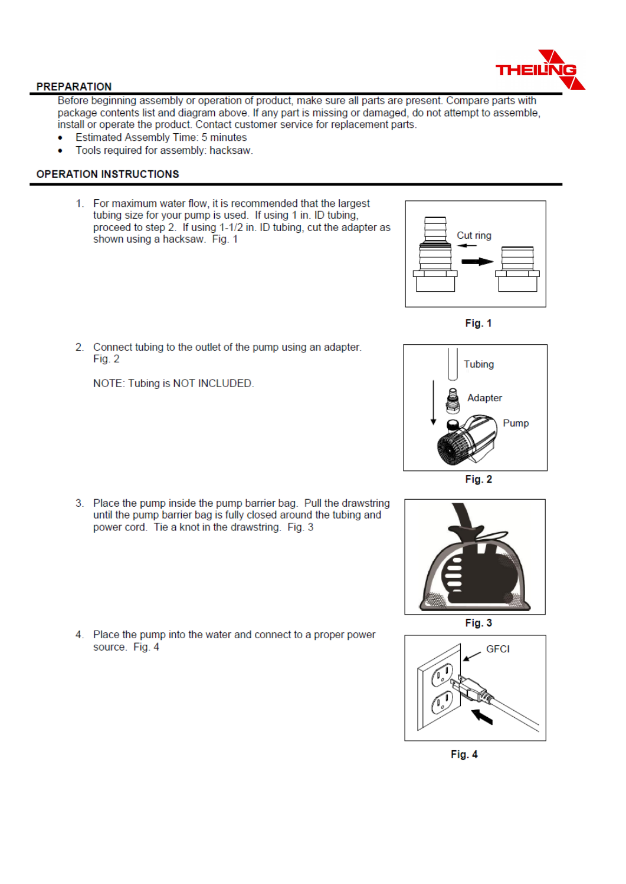

#### **PREPARATION**

Before beginning assembly or operation of product, make sure all parts are present. Compare parts with package contents list and diagram above. If any part is missing or damaged, do not attempt to assemble, install or operate the product. Contact customer service for replacement parts.

- **Estimated Assembly Time: 5 minutes**  $\bullet$
- Tools required for assembly: hacksaw.  $\bullet$

#### **OPERATION INSTRUCTIONS**

1. For maximum water flow, it is recommended that the largest tubing size for your pump is used. If using 1 in. ID tubing. proceed to step 2. If using 1-1/2 in. ID tubing, cut the adapter as shown using a hacksaw. Fig. 1



Fig. 1



Fig. 2



Fig. 3



Fig. 4

 $Fig. 2$ NOTE: Tubing is NOT INCLUDED.

2. Connect tubing to the outlet of the pump using an adapter.

3. Place the pump inside the pump barrier bag. Pull the drawstring until the pump barrier bag is fully closed around the tubing and power cord. Tie a knot in the drawstring. Fig. 3

4. Place the pump into the water and connect to a proper power source. Fig. 4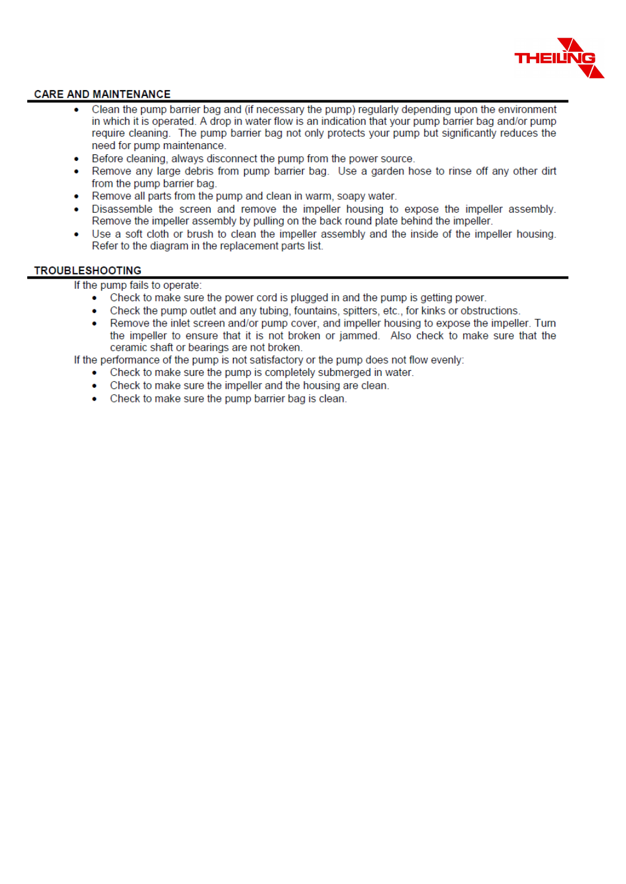

#### **CARE AND MAINTENANCE**

- Clean the pump barrier bag and (if necessary the pump) regularly depending upon the environment in which it is operated. A drop in water flow is an indication that your pump barrier bag and/or pump require cleaning. The pump barrier bag not only protects your pump but significantly reduces the need for pump maintenance.
- Before cleaning, always disconnect the pump from the power source.
- Remove any large debris from pump barrier bag. Use a garden hose to rinse off any other dirt  $\bullet$ from the pump barrier bag.
- Remove all parts from the pump and clean in warm, soapy water.
- Disassemble the screen and remove the impeller housing to expose the impeller assembly. Remove the impeller assembly by pulling on the back round plate behind the impeller.
- Use a soft cloth or brush to clean the impeller assembly and the inside of the impeller housing.  $\bullet$ Refer to the diagram in the replacement parts list.

#### **TROUBLESHOOTING**

If the pump fails to operate:

- Check to make sure the power cord is plugged in and the pump is getting power.
- Check the pump outlet and any tubing, fountains, spitters, etc., for kinks or obstructions. ×
- Remove the inlet screen and/or pump cover, and impeller housing to expose the impeller. Turn  $\bullet$ the impeller to ensure that it is not broken or jammed. Also check to make sure that the ceramic shaft or bearings are not broken.

If the performance of the pump is not satisfactory or the pump does not flow evenly:

- Check to make sure the pump is completely submerged in water.
- Check to make sure the impeller and the housing are clean.
- Check to make sure the pump barrier bag is clean.